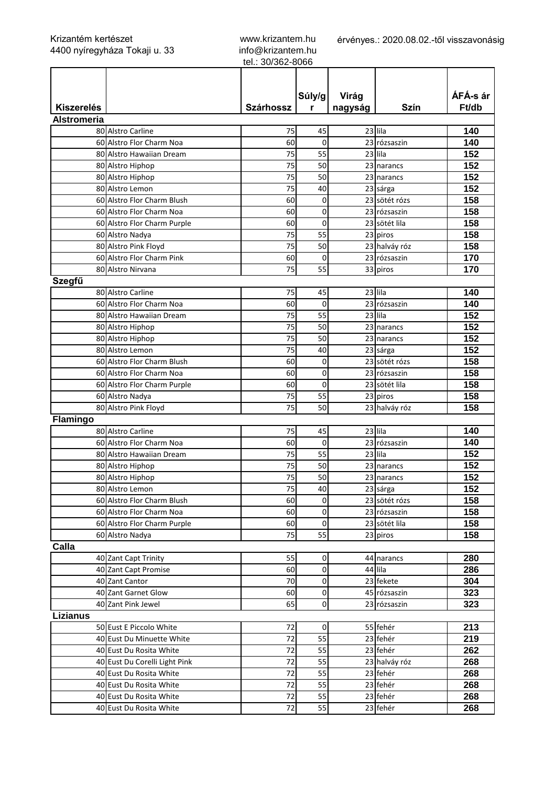www.krizantem.hu info@krizantem.hu tel.: 30/362-8066

|                    |                               |                  | Súly/g   | Virág   |               | ÁFÁ-s ár |
|--------------------|-------------------------------|------------------|----------|---------|---------------|----------|
| <b>Kiszerelés</b>  |                               | <b>Szárhossz</b> | r        | nagyság | Szín          | Ft/db    |
| <b>Alstromeria</b> |                               |                  |          |         |               |          |
|                    | 80 Alstro Carline             | 75               | 45       |         | 23 lila       | 140      |
|                    | 60 Alstro Flor Charm Noa      | 60               | 0        |         | 23 rózsaszin  | 140      |
|                    | 80 Alstro Hawaiian Dream      | 75               | 55       |         | $23$ lila     | 152      |
|                    | 80 Alstro Hiphop              | 75               | 50       |         | 23 narancs    | 152      |
|                    | 80 Alstro Hiphop              | 75               | 50       |         | 23 narancs    | 152      |
|                    | 80 Alstro Lemon               | 75               | 40       |         | 23 sárga      | 152      |
|                    | 60 Alstro Flor Charm Blush    | 60               | 0        |         | 23 sötét rózs | 158      |
|                    | 60 Alstro Flor Charm Noa      | 60               | 0        |         | 23 rózsaszin  | 158      |
|                    | 60 Alstro Flor Charm Purple   | 60               | $\Omega$ |         | 23 sötét lila | 158      |
|                    | 60 Alstro Nadya               | 75               | 55       |         | 23 piros      | 158      |
|                    | 80 Alstro Pink Floyd          | 75               | 50       |         | 23 halváy róz | 158      |
|                    | 60 Alstro Flor Charm Pink     | 60               | 0        |         | 23 rózsaszin  | 170      |
|                    | 80 Alstro Nirvana             | 75               | 55       |         | 33 piros      | 170      |
| Szegfű             |                               |                  |          |         |               |          |
|                    | 80 Alstro Carline             | 75               | 45       |         | 23 lila       | 140      |
|                    | 60 Alstro Flor Charm Noa      | 60               | 0        |         | 23 rózsaszin  | 140      |
|                    | 80 Alstro Hawaiian Dream      | 75               | 55       |         | 23 lila       | 152      |
|                    | 80 Alstro Hiphop              | 75               | 50       |         | 23 narancs    | 152      |
|                    | 80 Alstro Hiphop              | 75               | 50       |         | 23 narancs    | 152      |
|                    | 80 Alstro Lemon               | 75               | 40       |         | 23 sárga      | 152      |
|                    | 60 Alstro Flor Charm Blush    | 60               | 0        |         | 23 sötét rózs | 158      |
|                    | 60 Alstro Flor Charm Noa      | 60               | 0        |         | 23 rózsaszin  | 158      |
|                    | 60 Alstro Flor Charm Purple   | 60               | 0        |         | 23 sötét lila | 158      |
|                    | 60 Alstro Nadya               | 75               | 55       |         | 23 piros      | 158      |
|                    | 80 Alstro Pink Floyd          | 75               | 50       |         | 23 halváy róz | 158      |
| Flamingo           |                               |                  |          |         |               |          |
|                    | 80 Alstro Carline             | 75               | 45       |         | 23 lila       | 140      |
|                    | 60 Alstro Flor Charm Noa      | 60               | 0        |         | 23 rózsaszin  | 140      |
|                    | 80 Alstro Hawaiian Dream      | 75               | 55       |         | 23 lila       | 152      |
|                    | 80 Alstro Hiphop              | 75               | 50       |         | 23 narancs    | 152      |
|                    | 80 Alstro Hiphop              | 75               | 50       |         | 23 narancs    | 152      |
|                    | 80 Alstro Lemon               | $\overline{75}$  | 40       |         | 23 sárga      | 152      |
|                    | 60 Alstro Flor Charm Blush    | 60               | 0        |         | 23 sötét rózs | 158      |
|                    | 60 Alstro Flor Charm Noa      | 60               | 0        |         | 23 rózsaszin  | 158      |
|                    | 60 Alstro Flor Charm Purple   | 60               | 0        |         | 23 sötét lila | 158      |
|                    | 60 Alstro Nadya               | 75               | 55       |         | 23 piros      | 158      |
| Calla              |                               |                  |          |         |               |          |
|                    | 40 Zant Capt Trinity          | 55               | 0        |         | 44 narancs    | 280      |
|                    | 40 Zant Capt Promise          | 60               | 0        |         | 44 lila       | 286      |
|                    | 40 Zant Cantor                | 70               | 0        |         | 23 fekete     | 304      |
|                    | 40 Zant Garnet Glow           | 60               | 0        |         | 45 rózsaszin  | 323      |
|                    | 40 Zant Pink Jewel            | 65               | 0        |         | 23 rózsaszin  | 323      |
| <b>Lizianus</b>    |                               |                  |          |         |               |          |
|                    | 50 Eust E Piccolo White       | 72               | 0        |         | 55 fehér      | 213      |
|                    | 40 Eust Du Minuette White     | 72               | 55       |         | 23 fehér      | 219      |
|                    | 40 Eust Du Rosita White       | 72               | 55       |         | 23 fehér      | 262      |
|                    | 40 Eust Du Corelli Light Pink | 72               | 55       |         | 23 halváy róz | 268      |
|                    | 40 Eust Du Rosita White       | 72               | 55       |         | 23 fehér      | 268      |
|                    | 40 Eust Du Rosita White       | 72               | 55       |         | 23 fehér      | 268      |
|                    | 40 Eust Du Rosita White       | 72               | 55       |         | 23 fehér      | 268      |
|                    | 40 Eust Du Rosita White       | 72               | 55       |         | 23 fehér      | 268      |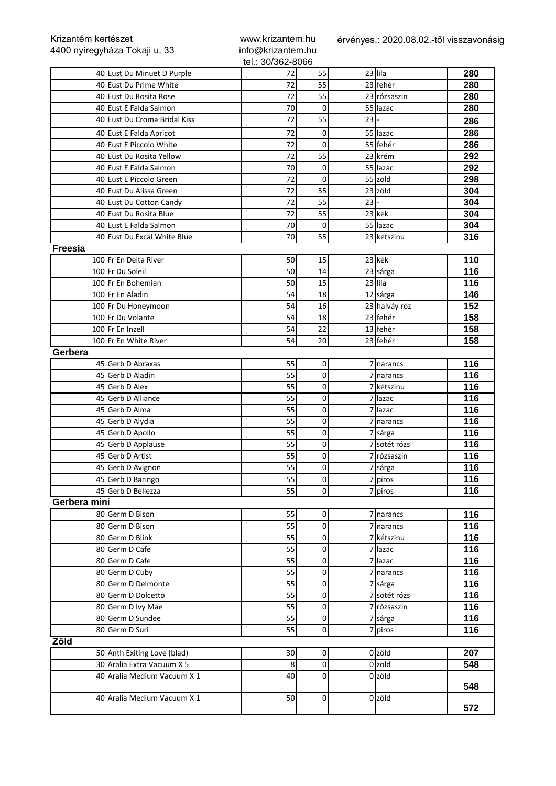| Krizantém kertészet<br>4400 nyíregyháza Tokaji u. 33 |                              | www.krizantem.hu<br>info@krizantem.hu |                     |        | érvényes.: 2020.08.02.-től visszavonásig |     |
|------------------------------------------------------|------------------------------|---------------------------------------|---------------------|--------|------------------------------------------|-----|
|                                                      |                              | tel.: 30/362-8066                     |                     |        |                                          |     |
|                                                      | 40 Eust Du Minuet D Purple   | 72                                    | 55                  |        | 23 lila                                  | 280 |
|                                                      | 40 Eust Du Prime White       | 72                                    | 55                  |        | 23 fehér                                 | 280 |
|                                                      | 40 Eust Du Rosita Rose       | 72                                    | 55                  |        | 23 rózsaszin                             | 280 |
|                                                      | 40 Eust E Falda Salmon       | 70                                    | 0                   |        | 55 lazac                                 | 280 |
|                                                      | 40 Eust Du Croma Bridal Kiss | 72                                    | 55                  | $23$ - |                                          | 286 |
|                                                      | 40 Eust E Falda Apricot      | 72                                    | 0                   |        | 55 lazac                                 | 286 |
|                                                      | 40 Eust E Piccolo White      | 72                                    | 0                   |        | 55 fehér                                 | 286 |
|                                                      | 40 Eust Du Rosita Yellow     | 72                                    | 55                  |        | 23 krém                                  | 292 |
|                                                      | 40 Eust E Falda Salmon       | 70                                    | 0                   |        | 55 lazac                                 | 292 |
|                                                      | 40 Eust E Piccolo Green      | 72                                    | 0                   |        | 55 zöld                                  | 298 |
|                                                      | 40 Eust Du Alissa Green      | 72                                    | 55                  |        | 23 zöld                                  | 304 |
|                                                      | 40 Eust Du Cotton Candy      | 72                                    | 55                  | $23$ - |                                          | 304 |
|                                                      | 40 Eust Du Rosita Blue       | 72                                    | 55                  |        | 23 kék                                   | 304 |
|                                                      | 40 Eust E Falda Salmon       | 70                                    | 0                   |        | 55 lazac                                 | 304 |
|                                                      | 40 Eust Du Excal White Blue  | 70                                    | 55                  |        | 23 kétszinu                              | 316 |
| <b>Freesia</b>                                       |                              |                                       |                     |        |                                          |     |
|                                                      | 100 Fr En Delta River        | 50                                    | 15                  |        | 23 kék                                   | 110 |
|                                                      | 100 Fr Du Soleil             | 50                                    | 14                  |        | 23 sárga                                 | 116 |
|                                                      | 100 Fr En Bohemian           | 50                                    | 15                  |        | 23 lila                                  | 116 |
|                                                      | 100 Fr En Aladin             | 54                                    | 18                  |        | 12 sárga                                 | 146 |
|                                                      | 100 Fr Du Honeymoon          | 54                                    | 16                  |        | 23 halváy róz                            | 152 |
|                                                      | 100 Fr Du Volante            | 54                                    | 18                  |        | 23 fehér                                 | 158 |
|                                                      | 100 Fr En Inzell             | 54                                    | 22                  |        | 13 fehér                                 | 158 |
|                                                      | 100 Fr En White River        | 54                                    | 20                  |        | 23 fehér                                 | 158 |
| Gerbera                                              |                              |                                       |                     |        |                                          |     |
|                                                      | 45 Gerb D Abraxas            | 55                                    | $\overline{0}$      |        | 7 narancs                                | 116 |
|                                                      | 45 Gerb D Aladin             | 55                                    | 0                   |        | narancs                                  | 116 |
|                                                      | 45 Gerb D Alex               | 55                                    | 0                   |        | kétszinu                                 | 116 |
|                                                      | 45 Gerb D Alliance           | 55                                    | 0                   | 7      | lazac                                    | 116 |
|                                                      | 45 Gerb D Alma               | 55                                    | $\mathsf{O}\xspace$ |        | lazac                                    | 116 |
|                                                      | 45 Gerb D Alydia             | 55                                    | $\overline{0}$      | 7      | narancs                                  | 116 |
|                                                      | 45 Gerb D Apollo             | 55                                    | 0                   |        | 7 sárga                                  | 116 |
|                                                      | 45 Gerb D Applause           | 55                                    | 0                   |        | 7 sötét rózs                             | 116 |
|                                                      | 45 Gerb D Artist             | 55                                    | $\overline{0}$      |        | 7 rózsaszin                              | 116 |
|                                                      | 45 Gerb D Avignon            | 55                                    | $\overline{0}$      |        | 7 sárga                                  | 116 |
|                                                      | 45 Gerb D Baringo            | 55                                    | $\overline{0}$      |        | 7 piros                                  | 116 |
|                                                      | 45 Gerb D Bellezza           | 55                                    | $\overline{0}$      |        | 7 piros                                  | 116 |
| Gerbera mini                                         |                              |                                       |                     |        |                                          |     |
|                                                      | 80 Germ D Bison              | 55                                    | $\overline{0}$      |        | 7 narancs                                | 116 |
|                                                      | 80 Germ D Bison              | 55                                    | $\overline{0}$      |        | narancs                                  | 116 |
|                                                      | 80 Germ D Blink              | 55                                    | $\overline{0}$      |        | kétszinu                                 | 116 |
|                                                      | 80 Germ D Cafe               | 55                                    | $\overline{0}$      | 7      | lazac                                    | 116 |
|                                                      | 80 Germ D Cafe               | 55                                    | $\overline{0}$      | 7      | lazac                                    | 116 |
|                                                      | 80 Germ D Cuby               | 55                                    | $\overline{0}$      |        |                                          | 116 |
|                                                      |                              |                                       | $\overline{0}$      |        | narancs                                  | 116 |
|                                                      | 80 Germ D Delmonte           | 55                                    |                     |        | sárga                                    |     |
|                                                      | 80 Germ D Dolcetto           | 55                                    | $\overline{0}$      |        | 7 sötét rózs                             | 116 |
|                                                      | 80 Germ D Ivy Mae            | 55                                    | $\overline{0}$      |        | 7 rózsaszin                              | 116 |
|                                                      | 80 Germ D Sundee             | 55                                    | $\overline{0}$      |        | 7 sárga                                  | 116 |
|                                                      | 80 Germ D Suri               | 55                                    | $\mathsf{O}\xspace$ |        | 7 piros                                  | 116 |
| Zöld                                                 |                              |                                       |                     |        |                                          |     |
|                                                      | 50 Anth Exiting Love (blad)  | 30 <sub>0</sub>                       | $\Omega$            |        | $0$ zöld                                 | 207 |
|                                                      | 30 Aralia Extra Vacuum X 5   | 8                                     | $\overline{0}$      |        | 0 zöld                                   | 548 |
|                                                      | 40 Aralia Medium Vacuum X 1  | 40                                    | $\overline{0}$      |        | 0 zöld                                   | 548 |
|                                                      | 40 Aralia Medium Vacuum X 1  | 50                                    | $\overline{0}$      |        | 0 <sub>zöld</sub>                        | 572 |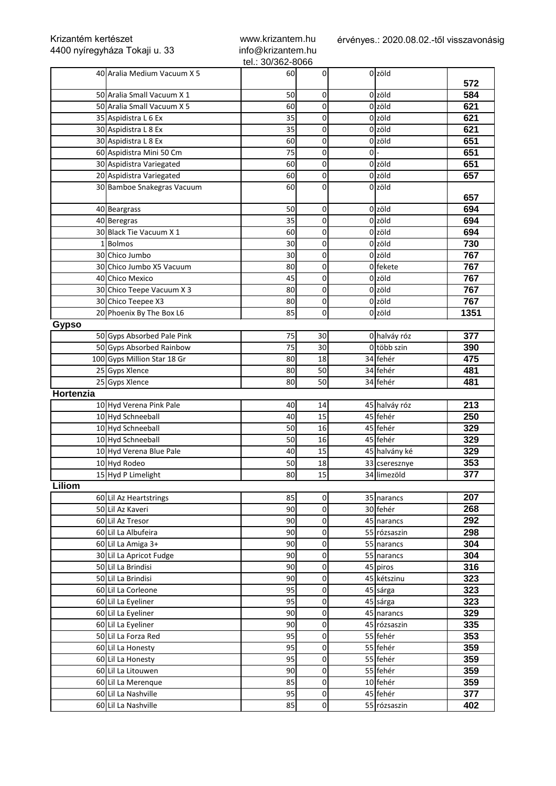| Krizantém kertészet<br>4400 nyíregyháza Tokaji u. 33 |                             | www.krizantem.hu<br>info@krizantem.hu |                     | érvényes.: 2020.08.02.-től visszavonásig |                   |      |  |
|------------------------------------------------------|-----------------------------|---------------------------------------|---------------------|------------------------------------------|-------------------|------|--|
|                                                      |                             | tel.: 30/362-8066                     |                     |                                          |                   |      |  |
|                                                      | 40 Aralia Medium Vacuum X 5 | 60                                    | $\Omega$            |                                          | 0 <sub>zöld</sub> |      |  |
|                                                      |                             |                                       |                     |                                          | 0 <sub>zöld</sub> | 572  |  |
|                                                      | 50 Aralia Small Vacuum X 1  | 50                                    | 0                   |                                          |                   | 584  |  |
|                                                      | 50 Aralia Small Vacuum X 5  | 60                                    | 0                   |                                          | 0 <sub>zöld</sub> | 621  |  |
|                                                      | 35 Aspidistra L 6 Ex        | 35                                    | 0                   |                                          | 0 <sub>zöld</sub> | 621  |  |
|                                                      | 30 Aspidistra L 8 Ex        | 35                                    | 0                   |                                          | 0 zöld            | 621  |  |
|                                                      | 30 Aspidistra L 8 Ex        | 60                                    | 0                   |                                          | 0 <sub>zöld</sub> | 651  |  |
|                                                      | 60 Aspidistra Mini 50 Cm    | 75                                    | 0                   | $ol -$                                   |                   | 651  |  |
|                                                      | 30 Aspidistra Variegated    | 60                                    | 0                   |                                          | 0 zöld            | 651  |  |
|                                                      | 20 Aspidistra Variegated    | 60                                    | 0                   |                                          | 0 zöld            | 657  |  |
|                                                      | 30 Bamboe Snakegras Vacuum  | 60                                    | 0                   |                                          | 0 <sub>zöld</sub> | 657  |  |
|                                                      | 40 Beargrass                | 50                                    | 0                   |                                          | 0 zöld            | 694  |  |
|                                                      | 40 Beregras                 | 35                                    | 0                   |                                          | 0 zöld            | 694  |  |
|                                                      | 30 Black Tie Vacuum X 1     | 60                                    | 0                   |                                          | 0 <sub>zöld</sub> | 694  |  |
|                                                      | 1Bolmos                     | 30                                    | 0                   |                                          | 0 <sub>zöld</sub> | 730  |  |
|                                                      | 30 Chico Jumbo              | 30                                    | 0                   |                                          | 0 <sub>zöld</sub> | 767  |  |
|                                                      | 30 Chico Jumbo X5 Vacuum    | 80                                    | 0                   |                                          | 0 fekete          | 767  |  |
|                                                      | 40 Chico Mexico             | 45                                    | $\mathsf{O}\xspace$ |                                          | 0 <sub>zöld</sub> | 767  |  |
|                                                      | 30 Chico Teepe Vacuum X 3   | 80                                    | 0                   |                                          | 0 <sub>zöld</sub> | 767  |  |
|                                                      | 30 Chico Teepee X3          | 80                                    | 0                   |                                          | 0 zöld            | 767  |  |
|                                                      | 20 Phoenix By The Box L6    | 85                                    | 0                   |                                          | 0 zöld            | 1351 |  |
| <b>Gypso</b>                                         |                             |                                       |                     |                                          |                   |      |  |
|                                                      | 50 Gyps Absorbed Pale Pink  | 75                                    | 30                  |                                          | 0 halváy róz      | 377  |  |
|                                                      | 50 Gyps Absorbed Rainbow    | 75                                    | 30                  |                                          | 0 több szin       | 390  |  |
|                                                      | 100 Gyps Million Star 18 Gr | 80                                    | 18                  |                                          | 34 fehér          | 475  |  |
|                                                      | 25 Gyps Xlence              | 80                                    | 50                  |                                          | 34 fehér          | 481  |  |
|                                                      | 25 Gyps Xlence              | 80                                    | 50                  |                                          | 34 fehér          | 481  |  |
| Hortenzia                                            |                             |                                       |                     |                                          |                   |      |  |
|                                                      | 10 Hyd Verena Pink Pale     | 40                                    | 14                  |                                          | 45 halváy róz     | 213  |  |
|                                                      | 10 Hyd Schneeball           | 40                                    | 15                  |                                          | 45 fehér          | 250  |  |
|                                                      | 10 Hyd Schneeball           | 50                                    | 16                  |                                          | 45 fehér          | 329  |  |
|                                                      | 10 Hyd Schneeball           | 50                                    | 16                  |                                          | 45 fehér          | 329  |  |
|                                                      | 10 Hyd Verena Blue Pale     | 40                                    | $1\overline{5}$     |                                          | 45 halvány ké     | 329  |  |
|                                                      | 10 Hyd Rodeo                | 50                                    | 18                  |                                          | 33 cseresznye     | 353  |  |
|                                                      | 15 Hyd P Limelight          | 80                                    | 15                  |                                          | 34 limezöld       | 377  |  |
| Liliom                                               |                             |                                       |                     |                                          |                   |      |  |
|                                                      | 60 Lil Az Heartstrings      | 85                                    | 0                   |                                          | 35 narancs        | 207  |  |
|                                                      | 50 Lil Az Kaveri            | 90                                    | 0                   |                                          | 30 fehér          | 268  |  |
|                                                      | 60 Lil Az Tresor            | 90                                    | $\mathsf{O}\xspace$ |                                          | 45 narancs        | 292  |  |
|                                                      | 60 Lil La Albufeira         | 90                                    | 0                   |                                          | 55 rózsaszin      | 298  |  |
|                                                      | 60 Lil La Amiga 3+          | 90                                    | 0                   |                                          | 55 narancs        | 304  |  |
|                                                      | 30 Lil La Apricot Fudge     | 90                                    | $\overline{0}$      |                                          | 55 narancs        | 304  |  |
|                                                      | 50 Lil La Brindisi          | 90                                    | $\overline{0}$      |                                          | 45 piros          | 316  |  |
|                                                      | 50 Lil La Brindisi          | 90                                    | 0                   |                                          | 45 kétszinu       | 323  |  |
|                                                      |                             |                                       |                     |                                          |                   |      |  |
|                                                      | 60 Lil La Corleone          | 95                                    | 0                   |                                          | 45 sárga          | 323  |  |
|                                                      | 60 Lil La Eyeliner          | 95                                    | 0                   |                                          | 45 sárga          | 323  |  |
|                                                      | 60 Lil La Eyeliner          | 90                                    | $\mathsf{O}\xspace$ |                                          | 45 narancs        | 329  |  |
|                                                      | 60 Lil La Eyeliner          | 90                                    | 0                   |                                          | 45 rózsaszin      | 335  |  |
|                                                      | 50 Lil La Forza Red         | 95                                    | $\overline{0}$      |                                          | 55 fehér          | 353  |  |
|                                                      | 60 Lil La Honesty           | 95                                    | $\overline{0}$      |                                          | 55 fehér          | 359  |  |
|                                                      | 60 Lil La Honesty           | 95                                    | $\overline{0}$      |                                          | 55 fehér          | 359  |  |
|                                                      | 60 Lil La Litouwen          | 90                                    | $\mathsf{O}\xspace$ |                                          | 55 fehér          | 359  |  |
|                                                      | 60 Lil La Merenque          | 85                                    | $\mathsf{O}\xspace$ |                                          | 10 fehér          | 359  |  |
|                                                      | 60 Lil La Nashville         | 95                                    | $\overline{0}$      |                                          | 45 fehér          | 377  |  |
|                                                      | 60 Lil La Nashville         | 85                                    | $\overline{0}$      |                                          | 55 rózsaszin      | 402  |  |

Krizantém kertészet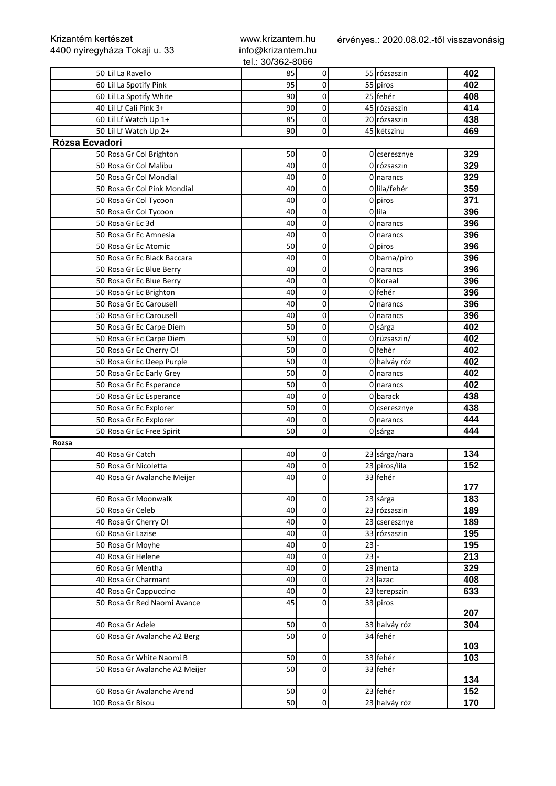| Krizantém kertészet<br>4400 nyíregyháza Tokaji u. 33 |                                | www.krizantem.hu<br>info@krizantem.hu |                     | érvényes.: 2020.08.02.-től visszavonásig |               |     |  |
|------------------------------------------------------|--------------------------------|---------------------------------------|---------------------|------------------------------------------|---------------|-----|--|
|                                                      |                                | tel.: 30/362-8066                     |                     |                                          |               |     |  |
|                                                      | 50 Lil La Ravello              | 85                                    | 0                   |                                          | 55 rózsaszin  | 402 |  |
|                                                      | 60 Lil La Spotify Pink         | 95                                    | 0                   |                                          | 55 piros      | 402 |  |
|                                                      | 60 Lil La Spotify White        | 90                                    | $\mathsf{O}\xspace$ |                                          | 25 fehér      | 408 |  |
|                                                      | 40 Lil Lf Cali Pink 3+         | 90                                    | 0                   |                                          | 45 rózsaszin  | 414 |  |
|                                                      | 60 Lil Lf Watch Up 1+          | 85                                    | 0                   |                                          | 20 rózsaszin  | 438 |  |
|                                                      | 50 Lil Lf Watch Up 2+          | 90                                    | 0                   |                                          | 45 kétszinu   | 469 |  |
| Rózsa Ecvadori                                       |                                |                                       |                     |                                          |               |     |  |
|                                                      | 50 Rosa Gr Col Brighton        | 50                                    | 0                   |                                          | 0 cseresznye  | 329 |  |
|                                                      | 50 Rosa Gr Col Malibu          | 40                                    | $\mathsf{O}\xspace$ |                                          | 0 rózsaszin   | 329 |  |
|                                                      | 50 Rosa Gr Col Mondial         | 40                                    | 0                   |                                          | 0 narancs     | 329 |  |
|                                                      | 50 Rosa Gr Col Pink Mondial    | 40                                    | 0                   |                                          | 0 lila/fehér  | 359 |  |
|                                                      | 50 Rosa Gr Col Tycoon          | 40                                    | 0                   |                                          | 0 piros       | 371 |  |
|                                                      | 50 Rosa Gr Col Tycoon          | 40                                    | 0                   |                                          | 0 lila        | 396 |  |
|                                                      | 50 Rosa Gr Ec 3d               | 40                                    | 0                   |                                          | 0 narancs     | 396 |  |
|                                                      | 50 Rosa Gr Ec Amnesia          | 40                                    | 0                   |                                          | 0 narancs     | 396 |  |
|                                                      | 50 Rosa Gr Ec Atomic           | 50                                    | 0                   |                                          | 0 piros       | 396 |  |
|                                                      |                                |                                       |                     |                                          |               |     |  |
|                                                      | 50 Rosa Gr Ec Black Baccara    | 40                                    | 0                   |                                          | 0 barna/piro  | 396 |  |
|                                                      | 50 Rosa Gr Ec Blue Berry       | 40                                    | 0                   |                                          | 0 narancs     | 396 |  |
|                                                      | 50 Rosa Gr Ec Blue Berry       | 40                                    | 0                   |                                          | 0 Koraal      | 396 |  |
|                                                      | 50 Rosa Gr Ec Brighton         | 40                                    | 0                   |                                          | 0 fehér       | 396 |  |
|                                                      | 50 Rosa Gr Ec Carousell        | 40                                    | $\mathsf{O}\xspace$ |                                          | 0 narancs     | 396 |  |
|                                                      | 50 Rosa Gr Ec Carousell        | 40                                    | 0                   |                                          | 0 narancs     | 396 |  |
|                                                      | 50 Rosa Gr Ec Carpe Diem       | 50                                    | 0                   |                                          | 0 sárga       | 402 |  |
|                                                      | 50 Rosa Gr Ec Carpe Diem       | 50                                    | 0                   |                                          | 0 rüzsaszin/  | 402 |  |
|                                                      | 50 Rosa Gr Ec Cherry O!        | 50                                    | 0                   |                                          | 0 fehér       | 402 |  |
|                                                      | 50 Rosa Gr Ec Deep Purple      | 50                                    | 0                   |                                          | 0 halváy róz  | 402 |  |
|                                                      | 50 Rosa Gr Ec Early Grey       | 50                                    | 0                   |                                          | 0 narancs     | 402 |  |
|                                                      | 50 Rosa Gr Ec Esperance        | 50                                    | $\mathsf{O}\xspace$ |                                          | 0 narancs     | 402 |  |
|                                                      | 50 Rosa Gr Ec Esperance        | 40                                    | 0                   |                                          | 0 barack      | 438 |  |
|                                                      | 50 Rosa Gr Ec Explorer         | 50                                    | 0                   |                                          | 0 cseresznye  | 438 |  |
|                                                      | 50 Rosa Gr Ec Explorer         | 40                                    | 0                   |                                          | 0 narancs     | 444 |  |
|                                                      | 50 Rosa Gr Ec Free Spirit      | 50                                    | 0                   |                                          | 0 sárga       | 444 |  |
| Rozsa                                                |                                |                                       |                     |                                          |               |     |  |
|                                                      | 40 Rosa Gr Catch               | 40                                    | $\overline{0}$      |                                          | 23 sárga/nara | 134 |  |
|                                                      | 50 Rosa Gr Nicoletta           | 40                                    | $\overline{0}$      |                                          | 23 piros/lila | 152 |  |
|                                                      | 40 Rosa Gr Avalanche Meijer    | 40                                    | $\mathbf 0$         |                                          | 33 fehér      |     |  |
|                                                      |                                |                                       |                     |                                          |               | 177 |  |
|                                                      | 60 Rosa Gr Moonwalk            | 40                                    | 0                   |                                          | 23 sárga      | 183 |  |
|                                                      | 50 Rosa Gr Celeb               | 40                                    | 0                   |                                          | 23 rózsaszin  | 189 |  |
|                                                      | 40 Rosa Gr Cherry O!           | 40                                    | $\mathsf{O}\xspace$ |                                          | 23 cseresznye | 189 |  |
|                                                      | 60 Rosa Gr Lazise              | 40                                    | $\overline{0}$      |                                          | 33 rózsaszin  | 195 |  |
|                                                      | 50 Rosa Gr Moyhe               | 40                                    | $\overline{0}$      | 23                                       |               | 195 |  |
|                                                      |                                |                                       |                     |                                          |               |     |  |
|                                                      | 40 Rosa Gr Helene              | 40                                    | $\overline{0}$      | 23                                       |               | 213 |  |
|                                                      | 60 Rosa Gr Mentha              | 40                                    | $\mathsf{O}\xspace$ |                                          | 23 menta      | 329 |  |
|                                                      | 40 Rosa Gr Charmant            | 40                                    | 0                   |                                          | 23 lazac      | 408 |  |
|                                                      | 40 Rosa Gr Cappuccino          | 40                                    | 0                   |                                          | 23 terepszin  | 633 |  |
|                                                      | 50 Rosa Gr Red Naomi Avance    | 45                                    | 0                   |                                          | 33 piros      |     |  |
|                                                      |                                |                                       |                     |                                          |               | 207 |  |
|                                                      | 40 Rosa Gr Adele               | 50                                    | $\overline{0}$      |                                          | 33 halváy róz | 304 |  |
|                                                      | 60 Rosa Gr Avalanche A2 Berg   | 50                                    | 0                   |                                          | 34 fehér      |     |  |
|                                                      |                                |                                       |                     |                                          |               | 103 |  |
|                                                      | 50 Rosa Gr White Naomi B       | 50                                    | $\overline{0}$      |                                          | 33 fehér      | 103 |  |
|                                                      | 50 Rosa Gr Avalanche A2 Meijer | 50                                    | $\Omega$            |                                          | 33 fehér      |     |  |
|                                                      |                                |                                       |                     |                                          |               | 134 |  |
|                                                      | 60 Rosa Gr Avalanche Arend     | 50                                    | $\overline{0}$      |                                          | 23 fehér      | 152 |  |
|                                                      | 100 Rosa Gr Bisou              | 50                                    | $\overline{0}$      |                                          | 23 halváy róz | 170 |  |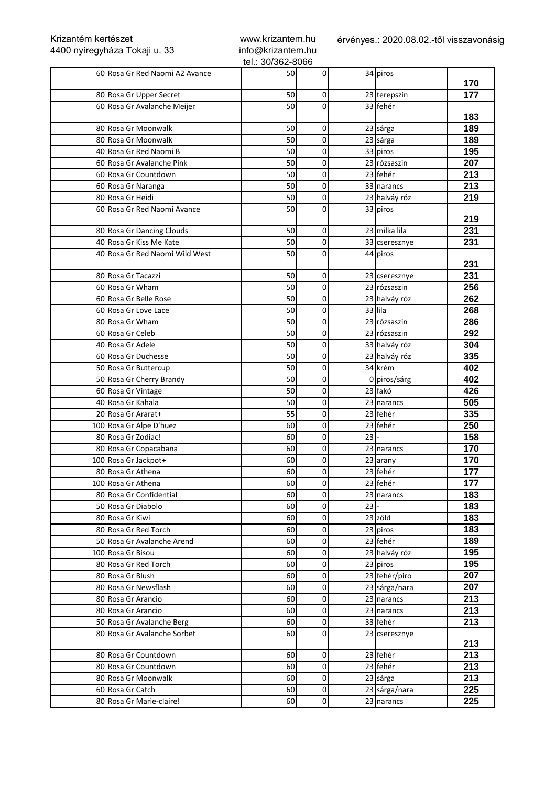| Krizantém kertészet<br>4400 nyíregyháza Tokaji u. 33 |                                | www.krizantem.hu<br>info@krizantem.hu |                | érvényes.: 2020.08.02.-től visszavonásig |               |     |  |
|------------------------------------------------------|--------------------------------|---------------------------------------|----------------|------------------------------------------|---------------|-----|--|
|                                                      | 60 Rosa Gr Red Naomi A2 Avance | tel.: 30/362-8066<br>50               | 0              |                                          | 34 piros      |     |  |
|                                                      |                                |                                       |                |                                          |               | 170 |  |
|                                                      | 80 Rosa Gr Upper Secret        | 50                                    | $\Omega$       |                                          | 23 terepszin  | 177 |  |
|                                                      | 60 Rosa Gr Avalanche Meijer    | 50                                    | 0              |                                          | 33 fehér      | 183 |  |
|                                                      | 80 Rosa Gr Moonwalk            | 50                                    | 0              |                                          | 23 sárga      | 189 |  |
|                                                      | 80 Rosa Gr Moonwalk            | 50                                    | 0              |                                          | 23 sárga      | 189 |  |
|                                                      | 40 Rosa Gr Red Naomi B         | 50                                    | 0              |                                          | 33 piros      | 195 |  |
|                                                      | 60 Rosa Gr Avalanche Pink      | 50                                    | 0              |                                          | 23 rózsaszin  | 207 |  |
|                                                      | 60 Rosa Gr Countdown           | 50                                    | 0              |                                          | 23 fehér      | 213 |  |
|                                                      | 60 Rosa Gr Naranga             | 50                                    | 0              |                                          | 33 narancs    | 213 |  |
|                                                      | 80 Rosa Gr Heidi               | 50                                    | 0              |                                          | 23 halváy róz | 219 |  |
|                                                      | 60 Rosa Gr Red Naomi Avance    | 50                                    | 0              |                                          | 33 piros      | 219 |  |
|                                                      | 80 Rosa Gr Dancing Clouds      | 50                                    | 0              |                                          | 23 milka lila | 231 |  |
|                                                      | 40 Rosa Gr Kiss Me Kate        | 50                                    | 0              |                                          | 33 cseresznye | 231 |  |
|                                                      | 40 Rosa Gr Red Naomi Wild West | 50                                    | 0              |                                          | 44 piros      |     |  |
|                                                      |                                |                                       |                |                                          |               | 231 |  |
|                                                      | 80 Rosa Gr Tacazzi             | 50                                    | 0              |                                          | 23 cseresznye | 231 |  |
|                                                      | 60 Rosa Gr Wham                | 50                                    | 0              |                                          | 23 rózsaszin  | 256 |  |
|                                                      | 60 Rosa Gr Belle Rose          | 50                                    | 0              |                                          | 23 halváy róz | 262 |  |
|                                                      | 60 Rosa Gr Love Lace           | 50                                    | 0              | 33 lila                                  |               | 268 |  |
|                                                      | 80 Rosa Gr Wham                | 50                                    | 0              |                                          | 23 rózsaszin  | 286 |  |
|                                                      | 60 Rosa Gr Celeb               | 50                                    | 0              |                                          | 23 rózsaszin  | 292 |  |
|                                                      | 40 Rosa Gr Adele               | 50                                    | 0              |                                          | 33 halváy róz | 304 |  |
|                                                      | 60 Rosa Gr Duchesse            | 50                                    | 0              |                                          | 23 halváy róz | 335 |  |
|                                                      | 50 Rosa Gr Buttercup           | 50                                    | 0              |                                          | 34 krém       | 402 |  |
|                                                      | 50 Rosa Gr Cherry Brandy       | 50                                    | 0              |                                          | 0 piros/sárg  | 402 |  |
|                                                      | 60 Rosa Gr Vintage             | 50                                    | 0              |                                          | 23 fakó       | 426 |  |
|                                                      | 40 Rosa Gr Kahala              | 50                                    | 0              |                                          | 23 narancs    | 505 |  |
|                                                      | 20 Rosa Gr Ararat+             | 55                                    | 0              |                                          | 23 fehér      | 335 |  |
|                                                      | 100 Rosa Gr Alpe D'huez        | 60                                    | 0              |                                          | 23 fehér      | 250 |  |
|                                                      | 80 Rosa Gr Zodiac!             | 60                                    | 0              | 23                                       |               | 158 |  |
|                                                      | 80 Rosa Gr Copacabana          | 60                                    | $\overline{0}$ |                                          | 23 narancs    | 170 |  |
|                                                      | 100 Rosa Gr Jackpot+           | 60                                    | $\overline{0}$ |                                          | 23 arany      | 170 |  |
|                                                      | 80 Rosa Gr Athena              | 60                                    | 0              |                                          | 23 fehér      | 177 |  |
|                                                      | 100 Rosa Gr Athena             | 60                                    | 0              |                                          | 23 fehér      | 177 |  |
|                                                      | 80 Rosa Gr Confidential        | 60                                    | 0              |                                          | 23 narancs    | 183 |  |
|                                                      | 50 Rosa Gr Diabolo             | 60                                    | 0              | $23$ -                                   |               | 183 |  |
|                                                      | 80 Rosa Gr Kiwi                | 60                                    | 0              |                                          | 23 zöld       | 183 |  |
|                                                      | 80 Rosa Gr Red Torch           | 60                                    | 0              |                                          | 23 piros      | 183 |  |
|                                                      | 50 Rosa Gr Avalanche Arend     | 60                                    | 0              |                                          | 23 fehér      | 189 |  |
|                                                      | 100 Rosa Gr Bisou              | 60                                    | 0              |                                          | 23 halváy róz | 195 |  |
|                                                      | 80 Rosa Gr Red Torch           | 60                                    | 0              |                                          | 23 piros      | 195 |  |
|                                                      | 80 Rosa Gr Blush               | 60                                    | 0              |                                          | 23 fehér/piro | 207 |  |
|                                                      | 80 Rosa Gr Newsflash           | 60                                    | 0              |                                          | 23 sárga/nara | 207 |  |
|                                                      | 80 Rosa Gr Arancio             | 60                                    | 0              |                                          | 23 narancs    | 213 |  |
|                                                      | 80 Rosa Gr Arancio             | 60                                    | 0              |                                          | 23 narancs    | 213 |  |
|                                                      | 50 Rosa Gr Avalanche Berg      | 60                                    | 0              |                                          | 33 fehér      | 213 |  |
|                                                      | 80 Rosa Gr Avalanche Sorbet    | 60                                    | 0              |                                          | 23 cseresznye |     |  |
|                                                      |                                |                                       |                |                                          |               | 213 |  |
|                                                      | 80 Rosa Gr Countdown           | 60                                    | 0              |                                          | 23 fehér      | 213 |  |
|                                                      | 80 Rosa Gr Countdown           | 60                                    | 0              |                                          | 23 fehér      | 213 |  |
|                                                      | 80 Rosa Gr Moonwalk            | 60                                    | 0              |                                          | 23 sárga      | 213 |  |
|                                                      | 60 Rosa Gr Catch               | 60                                    | 0              |                                          | 23 sárga/nara | 225 |  |
|                                                      | 80 Rosa Gr Marie-claire!       | 60                                    | $\overline{0}$ |                                          | 23 narancs    | 225 |  |

www.krizantem.hu

Krizantém kertészet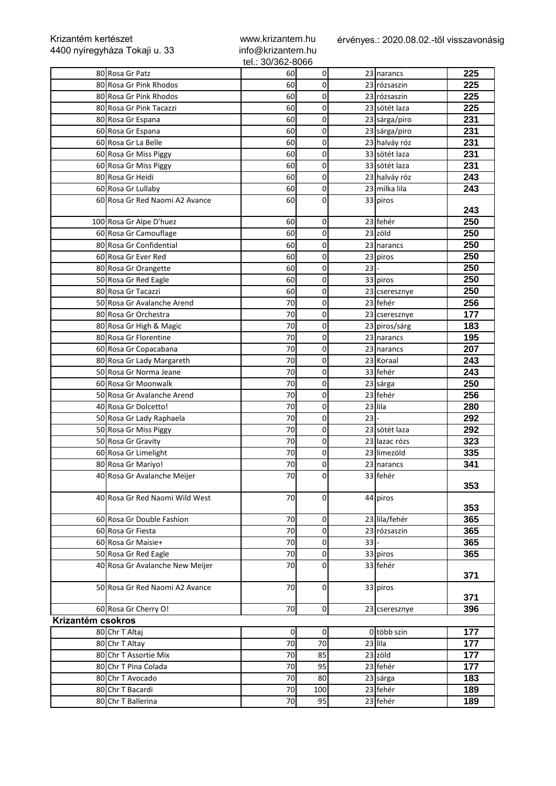| Krizantém kertészet | 4400 nyíregyháza Tokaji u. 33   | www.krizantem.hu<br>info@krizantem.hu<br>tel.: 30/362-8066 |                     |        | érvényes.: 2020.08.02.-től visszavonásig |     |
|---------------------|---------------------------------|------------------------------------------------------------|---------------------|--------|------------------------------------------|-----|
|                     | 80 Rosa Gr Patz                 | 60                                                         | 0                   |        | 23 narancs                               | 225 |
|                     | 80 Rosa Gr Pink Rhodos          | 60                                                         | $\mathbf 0$         |        | 23 rózsaszin                             | 225 |
|                     | 80 Rosa Gr Pink Rhodos          | 60                                                         | 0                   |        | 23 rózsaszin                             | 225 |
|                     | 80 Rosa Gr Pink Tacazzi         | 60                                                         | 0                   |        | 23 sötét laza                            | 225 |
|                     | 80 Rosa Gr Espana               | 60                                                         | 0                   |        | 23 sárga/piro                            | 231 |
|                     | 60 Rosa Gr Espana               | 60                                                         | 0                   |        | 23 sárga/piro                            | 231 |
|                     | 60 Rosa Gr La Belle             | 60                                                         | 0                   |        | 23 halváy róz                            | 231 |
|                     | 60 Rosa Gr Miss Piggy           | 60                                                         | 0                   |        | 33 sötét laza                            | 231 |
|                     | 60 Rosa Gr Miss Piggy           | 60                                                         | 0                   |        | 33 sötét laza                            | 231 |
|                     | 80 Rosa Gr Heidi                | 60                                                         | 0                   |        | 23 halváy róz                            | 243 |
|                     | 60 Rosa Gr Lullaby              | 60                                                         | 0                   |        | 23 milka lila                            | 243 |
|                     | 60 Rosa Gr Red Naomi A2 Avance  | 60                                                         | 0                   |        | 33 piros                                 |     |
|                     |                                 |                                                            |                     |        |                                          | 243 |
|                     | 100 Rosa Gr Alpe D'huez         | 60                                                         | 0                   |        | 23 fehér                                 | 250 |
|                     | 60 Rosa Gr Camouflage           | 60                                                         | 0                   |        | 23 zöld                                  | 250 |
|                     | 80 Rosa Gr Confidential         | 60                                                         | 0                   |        | 23 narancs                               | 250 |
|                     | 60 Rosa Gr Ever Red             | 60                                                         | 0                   |        | 23 piros                                 | 250 |
|                     | 80 Rosa Gr Orangette            | 60                                                         | 0                   | $23$ - |                                          | 250 |
|                     | 50 Rosa Gr Red Eagle            | 60                                                         | 0                   |        | 33 piros                                 | 250 |
|                     | 80 Rosa Gr Tacazzi              | 60                                                         | 0                   |        | 23 cseresznye                            | 250 |
|                     | 50 Rosa Gr Avalanche Arend      | 70                                                         | 0                   |        | 23 fehér                                 | 256 |
|                     | 80 Rosa Gr Orchestra            | 70                                                         | 0                   |        | 23 cseresznye                            | 177 |
|                     | 80 Rosa Gr High & Magic         | 70                                                         | 0                   |        | 23 piros/sárg                            | 183 |
|                     | 80 Rosa Gr Florentine           | 70                                                         | 0                   |        | 23 narancs                               | 195 |
|                     | 60 Rosa Gr Copacabana           | 70                                                         | 0                   |        | 23 narancs                               | 207 |
|                     | 80 Rosa Gr Lady Margareth       | 70                                                         | $\mathsf{O}\xspace$ |        | 23 Koraal                                | 243 |
|                     | 50 Rosa Gr Norma Jeane          | 70                                                         | 0                   |        | 33 fehér                                 | 243 |
|                     | 60 Rosa Gr Moonwalk             | 70                                                         | 0                   |        | 23 sárga                                 | 250 |
|                     | 50 Rosa Gr Avalanche Arend      | 70                                                         | 0                   |        | 23 fehér                                 | 256 |
|                     | 40 Rosa Gr Dolcetto!            | 70                                                         | 0                   |        | 23 lila                                  | 280 |
|                     | 50 Rosa Gr Lady Raphaela        | 70                                                         | 0                   | $23$ - |                                          | 292 |
|                     | 50 Rosa Gr Miss Piggy           | 70                                                         | 0                   |        | 23 sötét laza                            | 292 |
|                     | 50 Rosa Gr Gravity              | 70                                                         | 0                   |        | 23 lazac rózs                            | 323 |
|                     | 60 Rosa Gr Limelight            | 70                                                         | $\overline{0}$      |        | 23 limezöld                              | 335 |
|                     | 80 Rosa Gr Mariyo!              | 70                                                         | $\overline{0}$      |        | 23 narancs                               | 341 |
|                     | 40 Rosa Gr Avalanche Meijer     | 70                                                         | 0                   |        | 33 fehér                                 |     |
|                     | 40 Rosa Gr Red Naomi Wild West  | 70                                                         | 0                   |        | 44 piros                                 | 353 |
|                     |                                 |                                                            |                     |        |                                          | 353 |
|                     | 60 Rosa Gr Double Fashion       | 70                                                         | 0                   |        | 23 lila/fehér                            | 365 |
|                     | 60 Rosa Gr Fiesta               | 70                                                         | 0                   |        | 23 rózsaszin                             | 365 |
|                     | 60 Rosa Gr Maisie+              | 70                                                         | 0                   | $33$ - |                                          | 365 |
|                     | 50 Rosa Gr Red Eagle            | 70                                                         | 0                   |        | 33 piros                                 | 365 |
|                     | 40 Rosa Gr Avalanche New Meijer | 70                                                         | 0                   |        | 33 fehér                                 | 371 |
|                     | 50 Rosa Gr Red Naomi A2 Avance  | 70                                                         | 0                   |        | 33 piros                                 | 371 |
|                     | 60 Rosa Gr Cherry O!            | 70                                                         | $\overline{0}$      |        | 23 cseresznye                            | 396 |
| Krizantém csokros   |                                 |                                                            |                     |        |                                          |     |
|                     | 80 Chr T Altaj                  | $\overline{0}$                                             | οI                  |        | 0 több szin                              | 177 |
|                     | 80 Chr T Altay                  | 70                                                         | 70                  |        | 23 lila                                  | 177 |
|                     | 80 Chr T Assortie Mix           | 70                                                         | 85                  |        | 23 zöld                                  | 177 |
|                     | 80 Chr T Pina Colada            | 70                                                         | 95                  |        | 23 fehér                                 | 177 |
|                     | 80 Chr T Avocado                | 70                                                         | 80                  |        | 23 sárga                                 | 183 |
|                     | 80 Chr T Bacardi                | 70                                                         | 100                 |        | 23 fehér                                 | 189 |
|                     | 80 Chr T Ballerina              | 70                                                         | 95                  |        | 23 fehér                                 | 189 |
|                     |                                 |                                                            |                     |        |                                          |     |